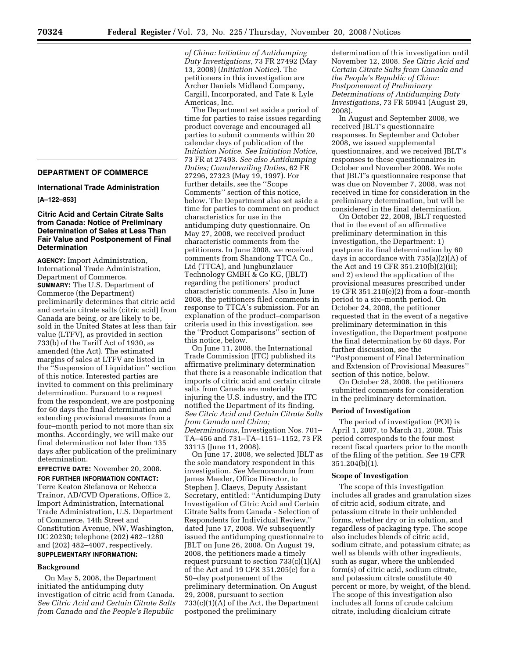# **DEPARTMENT OF COMMERCE**

**International Trade Administration** 

# **[A–122–853]**

# **Citric Acid and Certain Citrate Salts from Canada: Notice of Preliminary Determination of Sales at Less Than Fair Value and Postponement of Final Determination**

**AGENCY:** Import Administration, International Trade Administration, Department of Commerce. **SUMMARY:** The U.S. Department of Commerce (the Department) preliminarily determines that citric acid and certain citrate salts (citric acid) from Canada are being, or are likely to be, sold in the United States at less than fair value (LTFV), as provided in section 733(b) of the Tariff Act of 1930, as amended (the Act). The estimated margins of sales at LTFV are listed in the ''Suspension of Liquidation'' section of this notice. Interested parties are invited to comment on this preliminary determination. Pursuant to a request from the respondent, we are postponing for 60 days the final determination and extending provisional measures from a four–month period to not more than six months. Accordingly, we will make our final determination not later than 135 days after publication of the preliminary determination.

**EFFECTIVE DATE:** November 20, 2008. **FOR FURTHER INFORMATION CONTACT:**  Terre Keaton Stefanova or Rebecca Trainor, AD/CVD Operations, Office 2, Import Administration, International Trade Administration, U.S. Department of Commerce, 14th Street and Constitution Avenue, NW, Washington, DC 20230; telephone (202) 482–1280 and (202) 482–4007, respectively.

# **SUPPLEMENTARY INFORMATION:**

# **Background**

On May 5, 2008, the Department initiated the antidumping duty investigation of citric acid from Canada. *See Citric Acid and Certain Citrate Salts from Canada and the People's Republic* 

*of China: Initiation of Antidumping Duty Investigations*, 73 FR 27492 (May 13, 2008) (*Initiation Notice*). The petitioners in this investigation are Archer Daniels Midland Company, Cargill, Incorporated, and Tate & Lyle Americas, Inc.

The Department set aside a period of time for parties to raise issues regarding product coverage and encouraged all parties to submit comments within 20 calendar days of publication of the *Initiation Notice*. *See Initiation Notice*, 73 FR at 27493. *See also Antidumping Duties; Countervailing Duties*, 62 FR 27296, 27323 (May 19, 1997). For further details, see the ''Scope Comments'' section of this notice, below. The Department also set aside a time for parties to comment on product characteristics for use in the antidumping duty questionnaire. On May 27, 2008, we received product characteristic comments from the petitioners. In June 2008, we received comments from Shandong TTCA Co., Ltd (TTCA), and Jungbunzlauer Technology GMBH & Co KG, (JBLT) regarding the petitioners' product characteristic comments. Also in June 2008, the petitioners filed comments in response to TTCA's submission. For an explanation of the product–comparison criteria used in this investigation, see the ''Product Comparisons'' section of this notice, below.

On June 11, 2008, the International Trade Commission (ITC) published its affirmative preliminary determination that there is a reasonable indication that imports of citric acid and certain citrate salts from Canada are materially injuring the U.S. industry, and the ITC notified the Department of its finding. *See Citric Acid and Certain Citrate Salts from Canada and China; Determinations*, Investigation Nos. 701– TA–456 and 731–TA–1151–1152, 73 FR 33115 (June 11, 2008).

On June 17, 2008, we selected JBLT as the sole mandatory respondent in this investigation. *See* Memorandum from James Maeder, Office Director, to Stephen J. Claeys, Deputy Assistant Secretary, entitled: ''Antidumping Duty Investigation of Citric Acid and Certain Citrate Salts from Canada - Selection of Respondents for Individual Review,'' dated June 17, 2008. We subsequently issued the antidumping questionnaire to JBLT on June 26, 2008. On August 19, 2008, the petitioners made a timely request pursuant to section  $733(c)(1)(A)$ of the Act and 19 CFR 351.205(e) for a 50–day postponement of the preliminary determination. On August 29, 2008, pursuant to section 733(c)(1)(A) of the Act, the Department postponed the preliminary

determination of this investigation until November 12, 2008. *See Citric Acid and Certain Citrate Salts from Canada and the People's Republic of China: Postponement of Preliminary Determinations of Antidumping Duty Investigations*, 73 FR 50941 (August 29, 2008).

In August and September 2008, we received JBLT's questionnaire responses. In September and October 2008, we issued supplemental questionnaires, and we received JBLT's responses to these questionnaires in October and November 2008. We note that JBLT's questionnaire response that was due on November 7, 2008, was not received in time for consideration in the preliminary determination, but will be considered in the final determination.

On October 22, 2008, JBLT requested that in the event of an affirmative preliminary determination in this investigation, the Department: 1) postpone its final determination by 60 days in accordance with 735(a)(2)(A) of the Act and 19 CFR 351.210(b)(2)(ii); and 2) extend the application of the provisional measures prescribed under 19 CFR 351.210(e)(2) from a four–month period to a six–month period. On October 24, 2008, the petitioner requested that in the event of a negative preliminary determination in this investigation, the Department postpone the final determination by 60 days. For further discussion, see the ''Postponement of Final Determination and Extension of Provisional Measures'' section of this notice, below.

On October 28, 2008, the petitioners submitted comments for consideration in the preliminary determination.

# **Period of Investigation**

The period of investigation (POI) is April 1, 2007, to March 31, 2008. This period corresponds to the four most recent fiscal quarters prior to the month of the filing of the petition. *See* 19 CFR 351.204(b)(1).

# **Scope of Investigation**

The scope of this investigation includes all grades and granulation sizes of citric acid, sodium citrate, and potassium citrate in their unblended forms, whether dry or in solution, and regardless of packaging type. The scope also includes blends of citric acid, sodium citrate, and potassium citrate; as well as blends with other ingredients, such as sugar, where the unblended form(s) of citric acid, sodium citrate, and potassium citrate constitute 40 percent or more, by weight, of the blend. The scope of this investigation also includes all forms of crude calcium citrate, including dicalcium citrate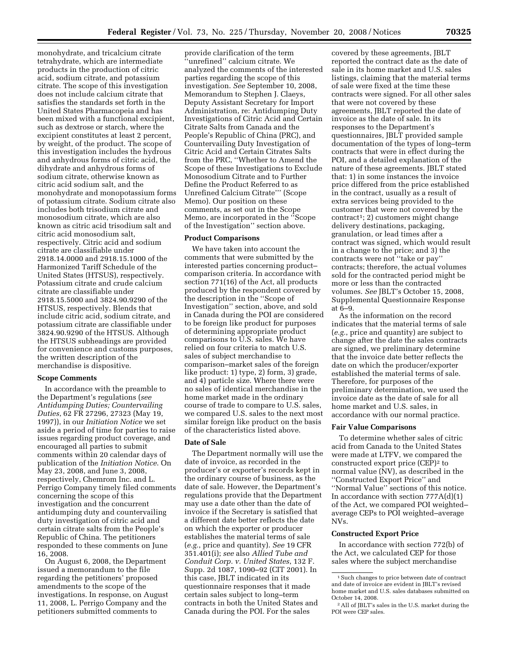monohydrate, and tricalcium citrate tetrahydrate, which are intermediate products in the production of citric acid, sodium citrate, and potassium citrate. The scope of this investigation does not include calcium citrate that satisfies the standards set forth in the United States Pharmacopeia and has been mixed with a functional excipient, such as dextrose or starch, where the excipient constitutes at least 2 percent, by weight, of the product. The scope of this investigation includes the hydrous and anhydrous forms of citric acid, the dihydrate and anhydrous forms of sodium citrate, otherwise known as citric acid sodium salt, and the monohydrate and monopotassium forms of potassium citrate. Sodium citrate also includes both trisodium citrate and monosodium citrate, which are also known as citric acid trisodium salt and citric acid monosodium salt, respectively. Citric acid and sodium citrate are classifiable under 2918.14.0000 and 2918.15.1000 of the Harmonized Tariff Schedule of the United States (HTSUS), respectively. Potassium citrate and crude calcium citrate are classifiable under 2918.15.5000 and 3824.90.9290 of the HTSUS, respectively. Blends that include citric acid, sodium citrate, and potassium citrate are classifiable under 3824.90.9290 of the HTSUS. Although the HTSUS subheadings are provided for convenience and customs purposes, the written description of the merchandise is dispositive.

### **Scope Comments**

In accordance with the preamble to the Department's regulations (*see Antidumping Duties; Countervailing Duties*, 62 FR 27296, 27323 (May 19, 1997)), in our *Initiation Notice* we set aside a period of time for parties to raise issues regarding product coverage, and encouraged all parties to submit comments within 20 calendar days of publication of the *Initiation Notice*. On May 23, 2008, and June 3, 2008, respectively, Chemrom Inc. and L. Perrigo Company timely filed comments concerning the scope of this investigation and the concurrent antidumping duty and countervailing duty investigation of citric acid and certain citrate salts from the People's Republic of China. The petitioners responded to these comments on June 16, 2008.

On August 6, 2008, the Department issued a memorandum to the file regarding the petitioners' proposed amendments to the scope of the investigations. In response, on August 11, 2008, L. Perrigo Company and the petitioners submitted comments to

provide clarification of the term 'unrefined'' calcium citrate. We analyzed the comments of the interested parties regarding the scope of this investigation. *See* September 10, 2008, Memorandum to Stephen J. Claeys, Deputy Assistant Secretary for Import Administration, re: Antidumping Duty Investigations of Citric Acid and Certain Citrate Salts from Canada and the People's Republic of China (PRC), and Countervailing Duty Investigation of Citric Acid and Certain Citrates Salts from the PRC, ''Whether to Amend the Scope of these Investigations to Exclude Monosodium Citrate and to Further Define the Product Referred to as Unrefined Calcium Citrate''' (Scope Memo). Our position on these comments, as set out in the Scope Memo, are incorporated in the ''Scope of the Investigation'' section above.

#### **Product Comparisons**

We have taken into account the comments that were submitted by the interested parties concerning product– comparison criteria. In accordance with section 771(16) of the Act, all products produced by the respondent covered by the description in the ''Scope of Investigation'' section, above, and sold in Canada during the POI are considered to be foreign like product for purposes of determining appropriate product comparisons to U.S. sales. We have relied on four criteria to match U.S. sales of subject merchandise to comparison–market sales of the foreign like product: 1) type, 2) form, 3) grade, and 4) particle size. Where there were no sales of identical merchandise in the home market made in the ordinary course of trade to compare to U.S. sales, we compared U.S. sales to the next most similar foreign like product on the basis of the characteristics listed above.

### **Date of Sale**

The Department normally will use the date of invoice, as recorded in the producer's or exporter's records kept in the ordinary course of business, as the date of sale. However, the Department's regulations provide that the Department may use a date other than the date of invoice if the Secretary is satisfied that a different date better reflects the date on which the exporter or producer establishes the material terms of sale (*e.g.*, price and quantity). *See* 19 CFR 351.401(i); *see* also *Allied Tube and Conduit Corp. v. United States*, 132 F. Supp. 2d 1087, 1090–92 (CIT 2001). In this case, JBLT indicated in its questionnaire responses that it made certain sales subject to long–term contracts in both the United States and Canada during the POI. For the sales

covered by these agreements, JBLT reported the contract date as the date of sale in its home market and U.S. sales listings, claiming that the material terms of sale were fixed at the time these contracts were signed. For all other sales that were not covered by these agreements, JBLT reported the date of invoice as the date of sale. In its responses to the Department's questionnaires, JBLT provided sample documentation of the types of long–term contracts that were in effect during the POI, and a detailed explanation of the nature of these agreements. JBLT stated that: 1) in some instances the invoice price differed from the price established in the contract, usually as a result of extra services being provided to the customer that were not covered by the  $control$ ; 2) customers might change delivery destinations, packaging, granulation, or lead times after a contract was signed, which would result in a change to the price; and 3) the contracts were not ''take or pay'' contracts; therefore, the actual volumes sold for the contracted period might be more or less than the contracted volumes. *See* JBLT's October 15, 2008, Supplemental Questionnaire Response at 6–9.

As the information on the record indicates that the material terms of sale (*e.g.*, price and quantity) are subject to change after the date the sales contracts are signed, we preliminary determine that the invoice date better reflects the date on which the producer/exporter established the material terms of sale. Therefore, for purposes of the preliminary determination, we used the invoice date as the date of sale for all home market and U.S. sales, in accordance with our normal practice.

#### **Fair Value Comparisons**

To determine whether sales of citric acid from Canada to the United States were made at LTFV, we compared the constructed export price (CEP)<sup>2</sup> to normal value (NV), as described in the ''Constructed Export Price'' and ''Normal Value'' sections of this notice. In accordance with section  $777A(d)(1)$ of the Act, we compared POI weighted– average CEPs to POI weighted–average NVs.

# **Constructed Export Price**

In accordance with section 772(b) of the Act, we calculated CEP for those sales where the subject merchandise

<sup>1</sup>Such changes to price between date of contract and date of invoice are evident in JBLT's revised home market and U.S. sales databases submitted on October 14, 2008.

<sup>2</sup>All of JBLT's sales in the U.S. market during the POI were CEP sales.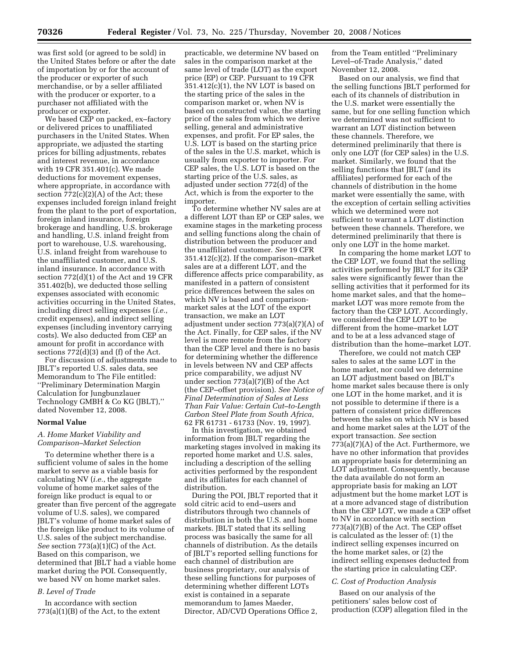was first sold (or agreed to be sold) in the United States before or after the date of importation by or for the account of the producer or exporter of such merchandise, or by a seller affiliated with the producer or exporter, to a purchaser not affiliated with the producer or exporter.

We based CEP on packed, ex–factory or delivered prices to unaffiliated purchasers in the United States. When appropriate, we adjusted the starting prices for billing adjustments, rebates and interest revenue, in accordance with 19 CFR 351.401(c). We made deductions for movement expenses, where appropriate, in accordance with section 772(c)(2)(A) of the Act; these expenses included foreign inland freight from the plant to the port of exportation, foreign inland insurance, foreign brokerage and handling, U.S. brokerage and handling, U.S. inland freight from port to warehouse, U.S. warehousing, U.S. inland freight from warehouse to the unaffiliated customer, and U.S. inland insurance. In accordance with section 772(d)(1) of the Act and 19 CFR 351.402(b), we deducted those selling expenses associated with economic activities occurring in the United States, including direct selling expenses (*i.e.*, credit expenses), and indirect selling expenses (including inventory carrying costs). We also deducted from CEP an amount for profit in accordance with sections 772(d)(3) and (f) of the Act.

For discussion of adjustments made to JBLT's reported U.S. sales data, see Memorandum to The File entitled: ''Preliminary Determination Margin Calculation for Jungbunzlauer Technology GMBH & Co KG (JBLT),'' dated November 12, 2008.

#### **Normal Value**

# *A. Home Market Viability and Comparison–Market Selection*

To determine whether there is a sufficient volume of sales in the home market to serve as a viable basis for calculating NV (*i.e.*, the aggregate volume of home market sales of the foreign like product is equal to or greater than five percent of the aggregate volume of U.S. sales), we compared JBLT's volume of home market sales of the foreign like product to its volume of U.S. sales of the subject merchandise. *See* section 773(a)(1)(C) of the Act. Based on this comparison, we determined that JBLT had a viable home market during the POI. Consequently, we based NV on home market sales.

# *B. Level of Trade*

In accordance with section  $773(a)(1)(B)$  of the Act, to the extent practicable, we determine NV based on sales in the comparison market at the same level of trade (LOT) as the export price (EP) or CEP. Pursuant to 19 CFR 351.412(c)(1), the NV LOT is based on the starting price of the sales in the comparison market or, when NV is based on constructed value, the starting price of the sales from which we derive selling, general and administrative expenses, and profit. For EP sales, the U.S. LOT is based on the starting price of the sales in the U.S. market, which is usually from exporter to importer. For CEP sales, the U.S. LOT is based on the starting price of the U.S. sales, as adjusted under section 772(d) of the Act, which is from the exporter to the importer.

To determine whether NV sales are at a different LOT than EP or CEP sales, we examine stages in the marketing process and selling functions along the chain of distribution between the producer and the unaffiliated customer. *See* 19 CFR 351.412(c)(2). If the comparison–market sales are at a different LOT, and the difference affects price comparability, as manifested in a pattern of consistent price differences between the sales on which NV is based and comparisonmarket sales at the LOT of the export transaction, we make an LOT adjustment under section 773(a)(7)(A) of the Act. Finally, for CEP sales, if the NV level is more remote from the factory than the CEP level and there is no basis for determining whether the difference in levels between NV and CEP affects price comparability, we adjust NV under section 773(a)(7)(B) of the Act (the CEP–offset provision). *See Notice of Final Determination of Sales at Less Than Fair Value: Certain Cut–to-Length Carbon Steel Plate from South Africa*, 62 FR 61731 - 61733 (Nov. 19, 1997).

In this investigation, we obtained information from JBLT regarding the marketing stages involved in making its reported home market and U.S. sales, including a description of the selling activities performed by the respondent and its affiliates for each channel of distribution.

During the POI, JBLT reported that it sold citric acid to end–users and distributors through two channels of distribution in both the U.S. and home markets. JBLT stated that its selling process was basically the same for all channels of distribution. As the details of JBLT's reported selling functions for each channel of distribution are business proprietary, our analysis of these selling functions for purposes of determining whether different LOTs exist is contained in a separate memorandum to James Maeder, Director, AD/CVD Operations Office 2,

from the Team entitled ''Preliminary Level–of-Trade Analysis,'' dated November 12, 2008.

Based on our analysis, we find that the selling functions JBLT performed for each of its channels of distribution in the U.S. market were essentially the same, but for one selling function which we determined was not sufficient to warrant an LOT distinction between these channels. Therefore, we determined preliminarily that there is only one LOT (for CEP sales) in the U.S. market. Similarly, we found that the selling functions that JBLT (and its affiliates) performed for each of the channels of distribution in the home market were essentially the same, with the exception of certain selling activities which we determined were not sufficient to warrant a LOT distinction between these channels. Therefore, we determined preliminarily that there is only one LOT in the home market.

In comparing the home market LOT to the CEP LOT, we found that the selling activities performed by JBLT for its CEP sales were significantly fewer than the selling activities that it performed for its home market sales, and that the home– market LOT was more remote from the factory than the CEP LOT. Accordingly, we considered the CEP LOT to be different from the home–market LOT and to be at a less advanced stage of distribution than the home–market LOT.

Therefore, we could not match CEP sales to sales at the same LOT in the home market, nor could we determine an LOT adjustment based on JBLT's home market sales because there is only one LOT in the home market, and it is not possible to determine if there is a pattern of consistent price differences between the sales on which NV is based and home market sales at the LOT of the export transaction. *See* section 773(a)(7)(A) of the Act. Furthermore, we have no other information that provides an appropriate basis for determining an LOT adjustment. Consequently, because the data available do not form an appropriate basis for making an LOT adjustment but the home market LOT is at a more advanced stage of distribution than the CEP LOT, we made a CEP offset to NV in accordance with section 773(a)(7)(B) of the Act. The CEP offset is calculated as the lesser of: (1) the indirect selling expenses incurred on the home market sales, or (2) the indirect selling expenses deducted from the starting price in calculating CEP.

### *C. Cost of Production Analysis*

Based on our analysis of the petitioners' sales below cost of production (COP) allegation filed in the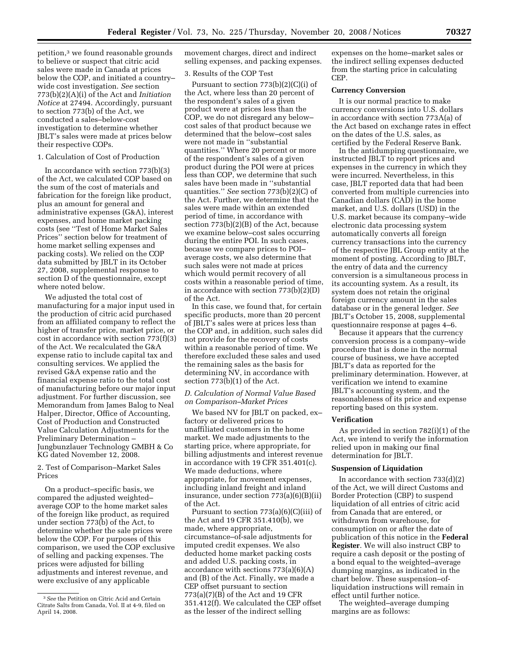petition,3 we found reasonable grounds to believe or suspect that citric acid sales were made in Canada at prices below the COP, and initiated a country– wide cost investigation. *See* section 773(b)(2)(A)(i) of the Act and *Initiation Notice* at 27494. Accordingly, pursuant to section 773(b) of the Act, we conducted a sales–below-cost investigation to determine whether JBLT's sales were made at prices below their respective COPs.

### 1. Calculation of Cost of Production

In accordance with section 773(b)(3) of the Act, we calculated COP based on the sum of the cost of materials and fabrication for the foreign like product, plus an amount for general and administrative expenses (G&A), interest expenses, and home market packing costs (see ''Test of Home Market Sales Prices'' section below for treatment of home market selling expenses and packing costs). We relied on the COP data submitted by JBLT in its October 27, 2008, supplemental response to section D of the questionnaire, except where noted below.

We adjusted the total cost of manufacturing for a major input used in the production of citric acid purchased from an affiliated company to reflect the higher of transfer price, market price, or cost in accordance with section 773(f)(3) of the Act. We recalculated the G&A expense ratio to include capital tax and consulting services. We applied the revised G&A expense ratio and the financial expense ratio to the total cost of manufacturing before our major input adjustment. For further discussion, see Memorandum from James Balog to Neal Halper, Director, Office of Accounting, Cost of Production and Constructed Value Calculation Adjustments for the Preliminary Determination – Jungbunzlauer Technology GMBH & Co KG dated November 12, 2008.

# 2. Test of Comparison–Market Sales Prices

On a product–specific basis, we compared the adjusted weighted– average COP to the home market sales of the foreign like product, as required under section 773(b) of the Act, to determine whether the sale prices were below the COP. For purposes of this comparison, we used the COP exclusive of selling and packing expenses. The prices were adjusted for billing adjustments and interest revenue, and were exclusive of any applicable

movement charges, direct and indirect selling expenses, and packing expenses.

# 3. Results of the COP Test

Pursuant to section  $773(b)(2)(C)(i)$  of the Act, where less than 20 percent of the respondent's sales of a given product were at prices less than the COP, we do not disregard any below– cost sales of that product because we determined that the below–cost sales were not made in ''substantial quantities.'' Where 20 percent or more of the respondent's sales of a given product during the POI were at prices less than COP, we determine that such sales have been made in ''substantial quantities.'' *See* section 773(b)(2)(C) of the Act. Further, we determine that the sales were made within an extended period of time, in accordance with section 773(b)(2)(B) of the Act, because we examine below–cost sales occurring during the entire POI. In such cases, because we compare prices to POI– average costs, we also determine that such sales were not made at prices which would permit recovery of all costs within a reasonable period of time, in accordance with section 773(b)(2)(D) of the Act.

In this case, we found that, for certain specific products, more than 20 percent of JBLT's sales were at prices less than the COP and, in addition, such sales did not provide for the recovery of costs within a reasonable period of time. We therefore excluded these sales and used the remaining sales as the basis for determining NV, in accordance with section 773(b)(1) of the Act.

# *D. Calculation of Normal Value Based on Comparison–Market Prices*

We based NV for JBLT on packed, ex– factory or delivered prices to unaffiliated customers in the home market. We made adjustments to the starting price, where appropriate, for billing adjustments and interest revenue in accordance with 19 CFR 351.401(c). We made deductions, where appropriate, for movement expenses, including inland freight and inland insurance, under section 773(a)(6)(B)(ii) of the Act.

Pursuant to section 773(a)(6)(C)(iii) of the Act and 19 CFR 351.410(b), we made, where appropriate, circumstance–of-sale adjustments for imputed credit expenses. We also deducted home market packing costs and added U.S. packing costs, in accordance with sections 773(a)(6)(A) and (B) of the Act. Finally, we made a CEP offset pursuant to section 773(a)(7)(B) of the Act and 19 CFR 351.412(f). We calculated the CEP offset as the lesser of the indirect selling

expenses on the home–market sales or the indirect selling expenses deducted from the starting price in calculating CEP.

# **Currency Conversion**

It is our normal practice to make currency conversions into U.S. dollars in accordance with section 773A(a) of the Act based on exchange rates in effect on the dates of the U.S. sales, as certified by the Federal Reserve Bank.

In the antidumping questionnaire, we instructed JBLT to report prices and expenses in the currency in which they were incurred. Nevertheless, in this case, JBLT reported data that had been converted from multiple currencies into Canadian dollars (CAD) in the home market, and U.S. dollars (USD) in the U.S. market because its company–wide electronic data processing system automatically converts all foreign currency transactions into the currency of the respective JBL Group entity at the moment of posting. According to JBLT, the entry of data and the currency conversion is a simultaneous process in its accounting system. As a result, its system does not retain the original foreign currency amount in the sales database or in the general ledger. *See*  JBLT's October 15, 2008, supplemental questionnaire response at pages 4–6.

Because it appears that the currency conversion process is a company–wide procedure that is done in the normal course of business, we have accepted JBLT's data as reported for the preliminary determination. However, at verification we intend to examine JBLT's accounting system, and the reasonableness of its price and expense reporting based on this system.

# **Verification**

As provided in section 782(i)(1) of the Act, we intend to verify the information relied upon in making our final determination for JBLT.

#### **Suspension of Liquidation**

In accordance with section  $733(d)(2)$ of the Act, we will direct Customs and Border Protection (CBP) to suspend liquidation of all entries of citric acid from Canada that are entered, or withdrawn from warehouse, for consumption on or after the date of publication of this notice in the **Federal Register**. We will also instruct CBP to require a cash deposit or the posting of a bond equal to the weighted–average dumping margins, as indicated in the chart below. These suspension–ofliquidation instructions will remain in effect until further notice.

The weighted–average dumping margins are as follows:

<sup>3</sup>*See* the Petition on Citric Acid and Certain Citrate Salts from Canada, Vol. II at 4-9, filed on April 14, 2008.